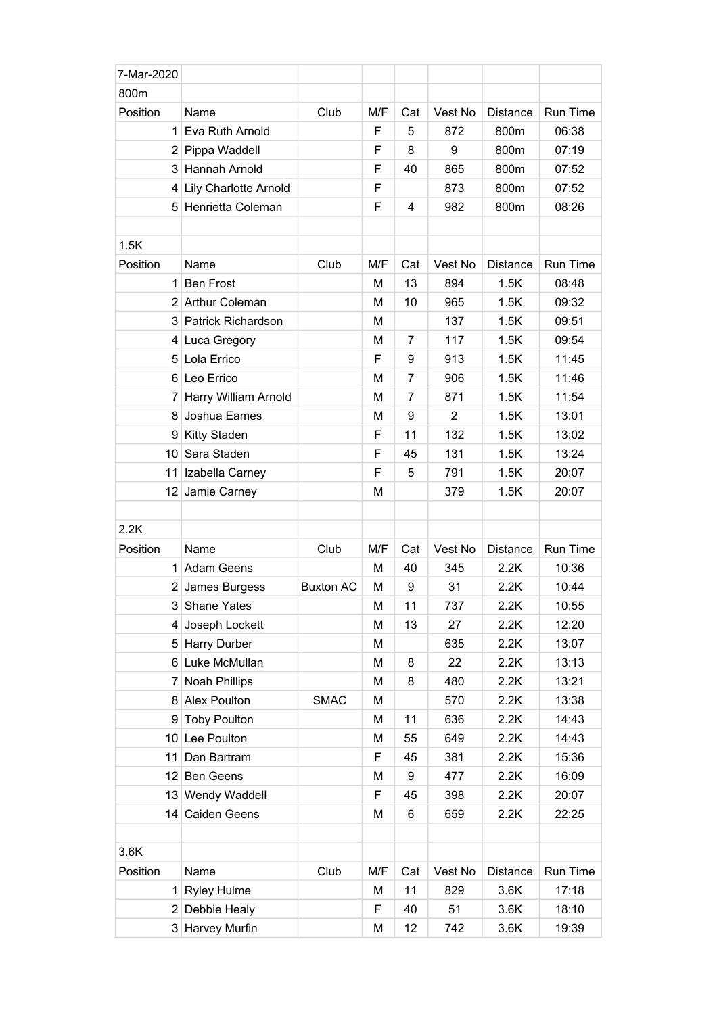| 7-Mar-2020     |                         |                  |     |                |         |                 |          |
|----------------|-------------------------|------------------|-----|----------------|---------|-----------------|----------|
| 800m           |                         |                  |     |                |         |                 |          |
| Position       | Name                    | Club             | M/F | Cat            | Vest No | <b>Distance</b> | Run Time |
|                | 1 Eva Ruth Arnold       |                  | F   | 5              | 872     | 800m            | 06:38    |
|                | 2 Pippa Waddell         |                  | F   | 8              | 9       | 800m            | 07:19    |
|                | 3 Hannah Arnold         |                  | F   | 40             | 865     | 800m            | 07:52    |
|                | 4 Lily Charlotte Arnold |                  | F   |                | 873     | 800m            | 07:52    |
|                | 5 Henrietta Coleman     |                  | F   | 4              | 982     | 800m            | 08:26    |
|                |                         |                  |     |                |         |                 |          |
| 1.5K           |                         |                  |     |                |         |                 |          |
| Position       | Name                    | Club             | M/F | Cat            | Vest No | Distance        | Run Time |
|                | 1 Ben Frost             |                  | M   | 13             | 894     | 1.5K            | 08:48    |
|                | 2 Arthur Coleman        |                  | м   | 10             | 965     | 1.5K            | 09:32    |
|                | 3 Patrick Richardson    |                  | M   |                | 137     | 1.5K            | 09:51    |
|                | 4 Luca Gregory          |                  | M   | $\overline{7}$ | 117     | 1.5K            | 09:54    |
|                | 5 Lola Errico           |                  | F   | 9              | 913     | 1.5K            | 11:45    |
|                | 6 Leo Errico            |                  | M   | $\overline{7}$ | 906     | 1.5K            | 11:46    |
|                | 7 Harry William Arnold  |                  | M   | $\overline{7}$ | 871     | 1.5K            | 11:54    |
| 8              | Joshua Eames            |                  | M   | 9              | 2       | 1.5K            | 13:01    |
|                | 9 Kitty Staden          |                  | F   | 11             | 132     | 1.5K            | 13:02    |
|                | 10 Sara Staden          |                  | F   | 45             | 131     | 1.5K            | 13:24    |
|                | 11 Izabella Carney      |                  | F   | 5              | 791     | 1.5K            | 20:07    |
|                | 12 Jamie Carney         |                  | M   |                | 379     | 1.5K            | 20:07    |
|                |                         |                  |     |                |         |                 |          |
| 2.2K           |                         |                  |     |                |         |                 |          |
| Position       | Name                    | Club             | M/F | Cat            | Vest No | <b>Distance</b> | Run Time |
|                | 1 Adam Geens            |                  | M   | 40             | 345     | 2.2K            | 10:36    |
|                | 2 James Burgess         | <b>Buxton AC</b> | M   | 9              | 31      | 2.2K            | 10:44    |
|                | 3 Shane Yates           |                  | M   | 11             | 737     | 2.2K            | 10:55    |
| 4              | Joseph Lockett          |                  | M   | 13             | 27      | 2.2K            | 12:20    |
|                | 5 Harry Durber          |                  | M   |                | 635     | 2.2K            | 13:07    |
|                | 6 Luke McMullan         |                  | M   | 8              | 22      | 2.2K            | 13:13    |
| 7 <sup>1</sup> | Noah Phillips           |                  | M   | 8              | 480     | 2.2K            | 13:21    |
|                | 8 Alex Poulton          | <b>SMAC</b>      | M   |                | 570     | 2.2K            | 13:38    |
|                | 9 Toby Poulton          |                  | M   | 11             | 636     | 2.2K            | 14:43    |
|                | 10 Lee Poulton          |                  | M   | 55             | 649     | 2.2K            | 14:43    |
|                | 11 Dan Bartram          |                  | F   | 45             | 381     | 2.2K            | 15:36    |
|                | 12 Ben Geens            |                  | M   | 9              | 477     | 2.2K            | 16:09    |
|                | 13 Wendy Waddell        |                  | F   | 45             | 398     | 2.2K            | 20:07    |
|                | 14 Caiden Geens         |                  | M   | 6              | 659     | 2.2K            | 22:25    |
|                |                         |                  |     |                |         |                 |          |
| 3.6K           |                         |                  |     |                |         |                 |          |
| Position       | Name                    | Club             | M/F | Cat            | Vest No | Distance        | Run Time |
|                | 1 Ryley Hulme           |                  | M   | 11             | 829     | 3.6K            | 17:18    |
|                | 2 Debbie Healy          |                  | F   | 40             | 51      | 3.6K            | 18:10    |
|                | 3 Harvey Murfin         |                  | M   | 12             | 742     | 3.6K            | 19:39    |